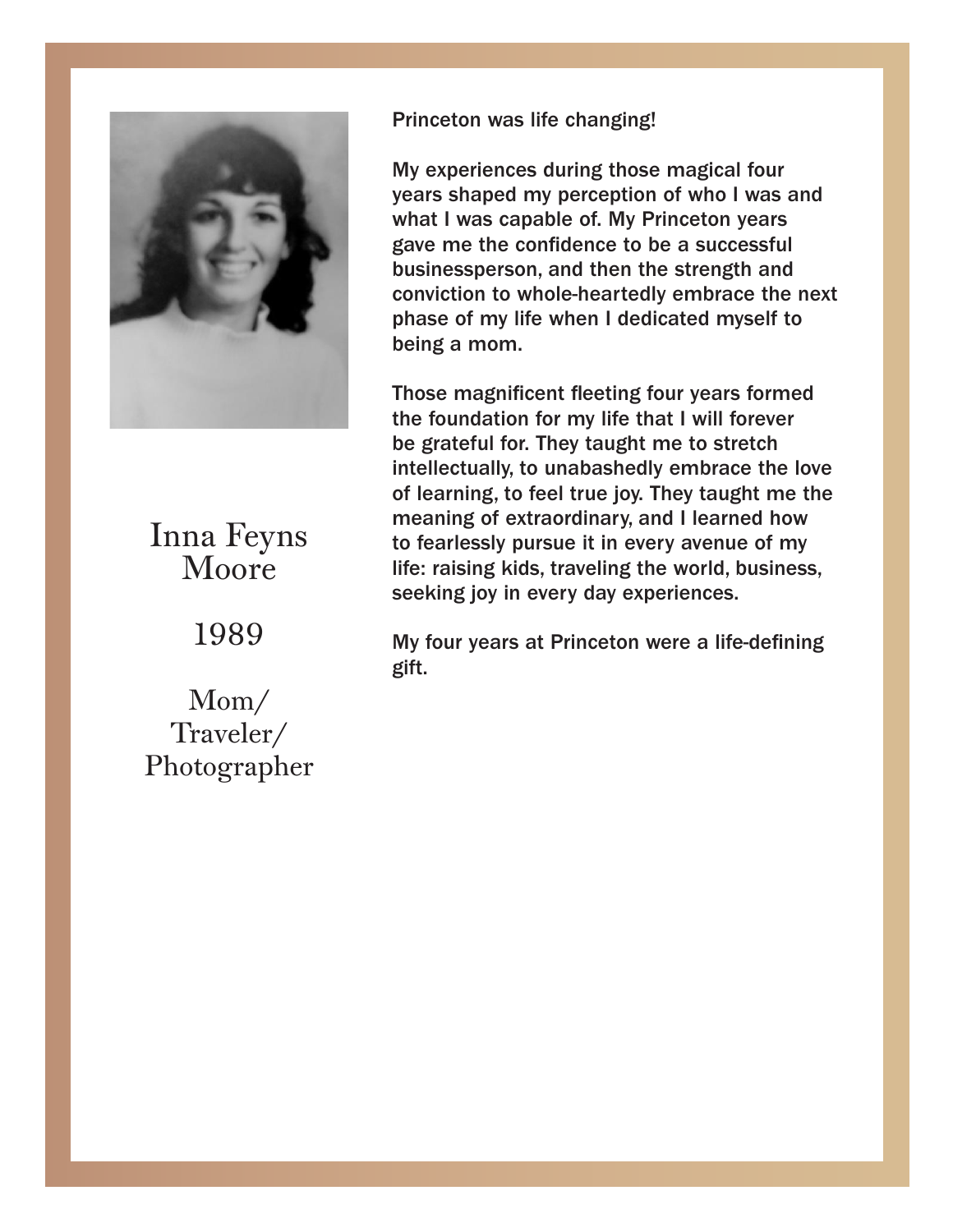

#### Moore Inna Feyns

 $\overline{1000}$ 1909 1989

Traveler/ notographe Mom/ Photographer Princeton was life changing! Princeton was life changing!

My experiences during those magical four years shaped my perception of who I was and what I was capable of. My Princeton years the confidence to be a successful gave me the confidence to be a successful businessperson, and then the strength and businessperson, and then the strength and conviction to whole-heartedly embrace the next phase of my life when I dedicated myself to phase of my life when I dedicated myself to being a mom. being a mom.

mose magnificent neeting four years formed<br>the foundation for my life that I will forever the foundation for my life that I will forever be be grateful for. They taught me to stretch grateful for. They taught me to stretch intellectually, to unabashedly embrace the love ment clumy, to unabashedly embrace the love of learning, to feel true joy. They taught me the meaning of extraordinary, and I learned how to fearlessly pursue it in every avenue of my life: raising kids, traveling the world, business, seeking joy in every day experiences. Those magnificent fleeting four years formed

 $\mathsf{H}$  four years at Princeton were all  $\mathsf{H}$  -defining  $\mathsf{H}$ My four years at Princeton were a life-defining gift.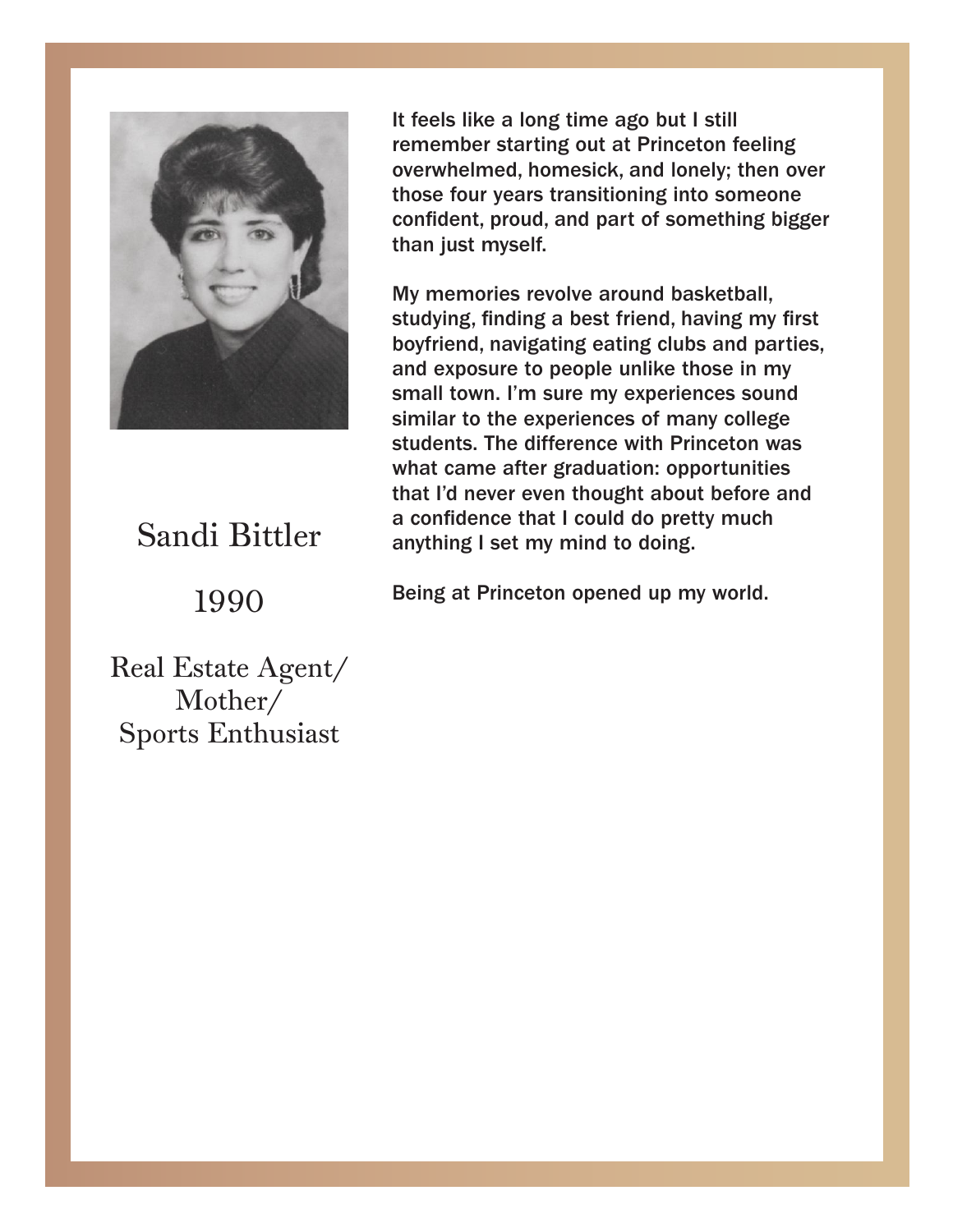

# Sandi Bittler

## 1990

It feels like a long time ago but I still remember that the state of the state of the state of the state of the remember starting out at Princeton feeling and the starting of the starting of the starting of the starting of overwhelmed, homesick, and lonely; then over mose four years transitioning like someone confident, proud, and part of something bigger than just myself. The something bigger than just myself. those four years transitioning into someone

studying, miding a best mend, naving my mst<br>boyfriend, navigating eating clubs and parties, studying, finding a best friend, having my first and exposure to people unlike those in my small town. I'm sure my experiences sound similar to the experiences of many college students. The difference with Princeton was<br>what some ofter graduation, appertunities what came are graduation. opportunities<br>that I'd never even thought about before and a confidence that I could do pretty much anything I set my mind to doing. The came of the set of the set of the set of the set of the set of the set of My memories revolve around basketball, studying, finding a best friend, having my first what came after graduation: opportunities

I'd never even thought about before and about before and about before and about before and about before and about before and about before and about before and about before and about before and about before and about before Being at Princeton opened up my world.

Being at Princeton opened up my world.

Real Estate Agent/  $\mathbb{R}$ Mother/ Sports Enthusiast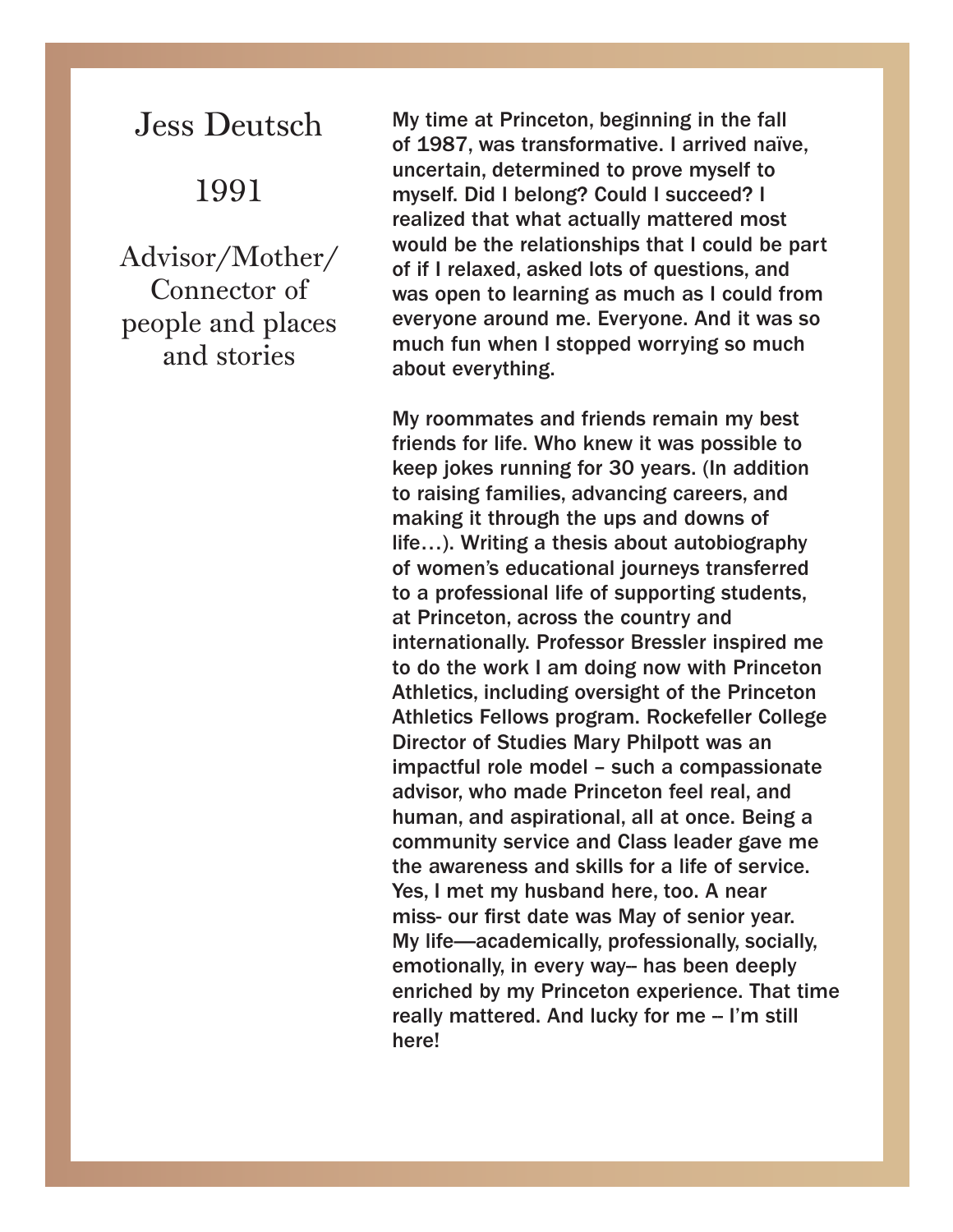Jess Deutsch

#### 1991

Advisor/Mother/ Connector of people and places and stories

My time at Princeton, beginning in the fall of 1987, was transformative. I arrived naïve, uncertain, determined to prove myself to myself. Did I belong? Could I succeed? I realized that what actually mattered most would be the relationships that I could be part of if I relaxed, asked lots of questions, and was open to learning as much as I could from everyone around me. Everyone. And it was so much fun when I stopped worrying so much about everything.

My roommates and friends remain my best friends for life. Who knew it was possible to keep jokes running for 30 years. (In addition to raising families, advancing careers, and making it through the ups and downs of life…). Writing a thesis about autobiography of women's educational journeys transferred to a professional life of supporting students, at Princeton, across the country and internationally. Professor Bressler inspired me to do the work I am doing now with Princeton Athletics, including oversight of the Princeton Athletics Fellows program. Rockefeller College Director of Studies Mary Philpott was an impactful role model – such a compassionate advisor, who made Princeton feel real, and human, and aspirational, all at once. Being a community service and Class leader gave me the awareness and skills for a life of service. Yes, I met my husband here, too. A near miss- our first date was May of senior year. My life—academically, professionally, socially, emotionally, in every way- has been deeply enriched by my Princeton experience. That time really mattered. And lucky for me - I'm still here!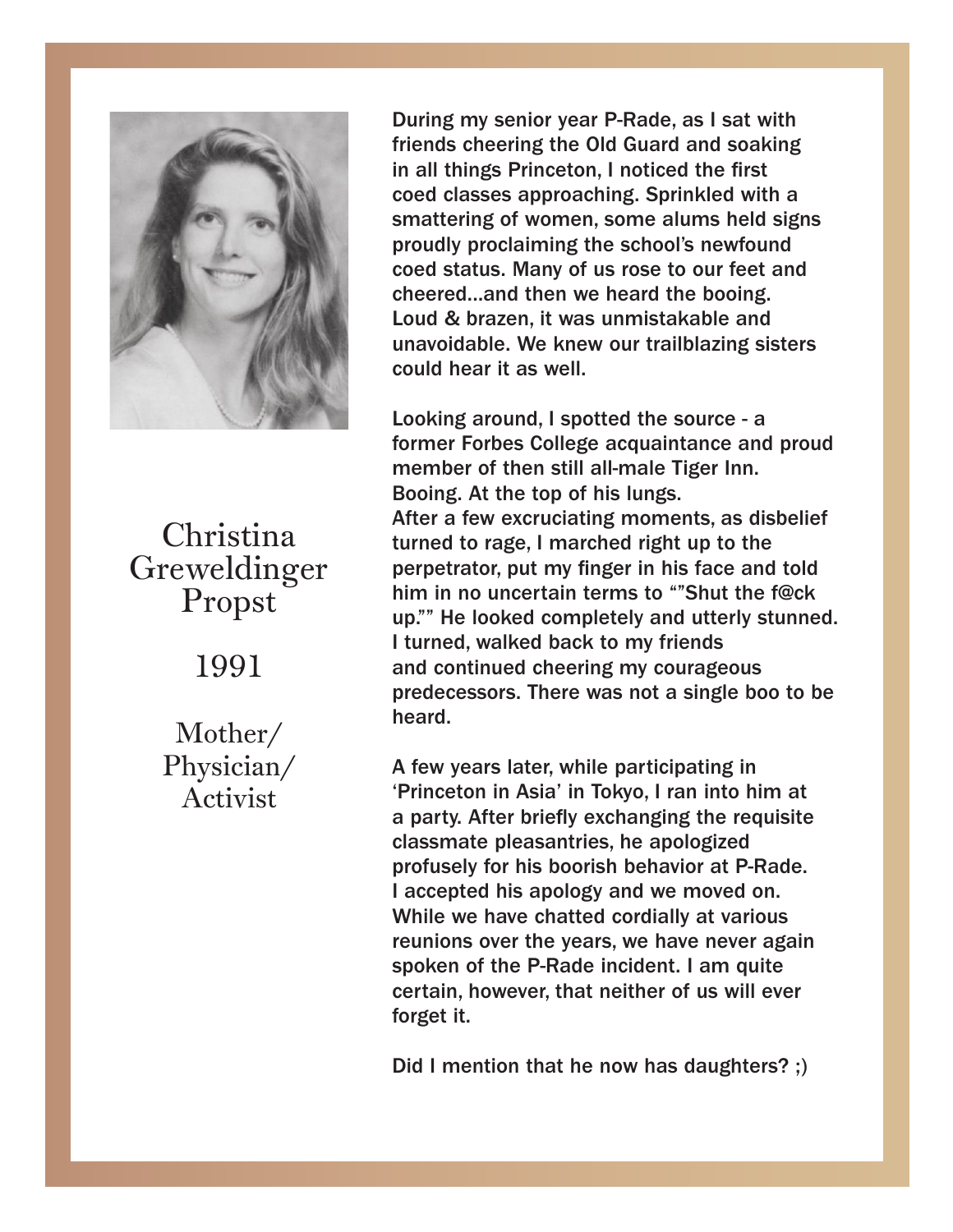

Propst<sup>5</sup> Christina Greweldinger

## Greweldinger 1991

 $\mathbf{P}$ 1991 Physician/ Mother/ Activist

During my senior year P-Rade, as I sat with During my senior year P-Rade, as I sat with friends cheering the Old Guard and soaking in friends cheering the Old Guard and soaking in all things Princeton, I noticed the first **conditions** coed classes approaching. Sprinkled with a<br>smattering of women, some alums held signs smattering of women, some alums held signs proudly proclaiming the school's newfound coed status. Many of us rose to our feet and cheered...and then we heard the booing. Loud & brazen, it was unmistakable and<br>unavoidable. We knew our trailblazing sisters  $\alpha$  brazen, it was under a could hear it as well. unavoidable. We knew our trailblazing sisters coed classes approaching. Sprinkled with a Loud & brazen, it was unmistakable and

Looking around, I spotted the source - a member of then still all-male Tiger Inn.<br>Pooing, At the top of his lungs Boomg. At the top of ms langs.<br>After a few excruciating moments, as disbelief turned to rage, I marched right up to the perpetrator, put my finger in his face and told After a few excruciating moments, as disbelief him in no uncertain terms to ""Shut the f@ck up. The looked completely and utterly stunned.<br>I turned, walked back to my friends permetrative and the my finance and told in his face and to his face and to his face and the material of the m predecessors. There was not a single boo to be up." He looked completely and utterly stunned. The looked completely and utterly stunned. former Forbes College acquaintance and proud Booing. At the top of his lungs. up."" He looked completely and utterly stunned. heard.

 $\blacksquare$ I turned, walked back to my friends and  $\blacksquare$ A iew years latel, while participating in<br>'Princeton in Asia' in Tokyo, I ran into him at a party. After briefly exchanging the requisite classmate pleasantries, he apologized I accepted his apology and we moved on.<br>While we have ebetted eardially at various while we have chatted cordially at various<br>reunions over the years, we have never again spoken of the P-Rade incident. I am quite certain, however, that neither of us will ever for his boorish behavior at  $P_0$ -Rade. A few years later, while participating in profusely for his boorish behavior at P-Rade. While we have chatted cordially at various forget it.

 $\frac{1}{2}$  montion that he new has daughters?  $\frac{1}{2}$  $M_{\rm H}$  we have now has adapted  $\frac{M_{\rm H}}{M_{\rm H}}$ Did I mention that he now has daughters? ;)

reunions over the years, we have never again

spoken of the P-Rade incident. I am quite

certain, however, that neither of us will ever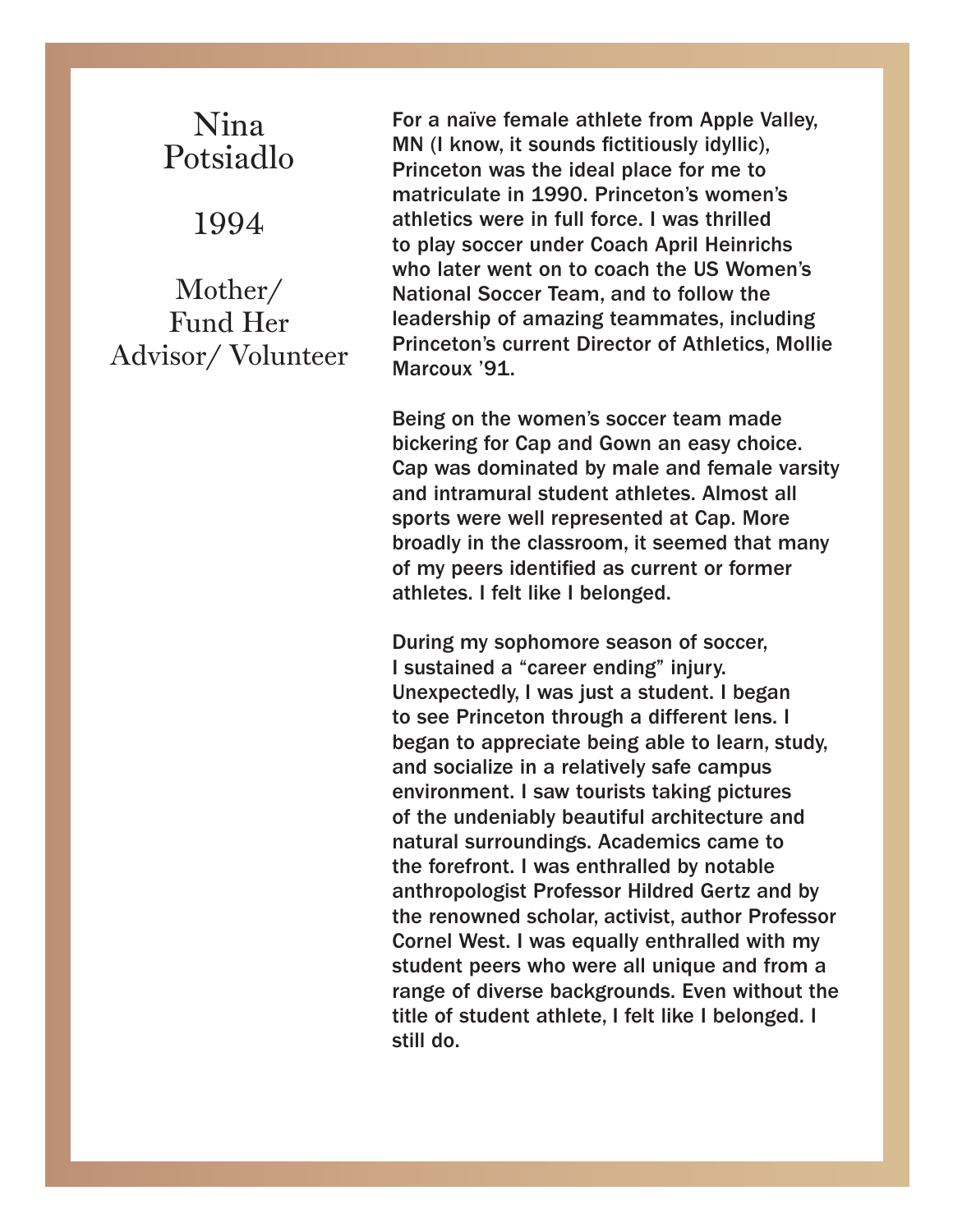### Nina Potsiadlo

1994

Mother/ Fund Her Advisor/ Volunteer

For a naïve female athlete from Apple Valley, MN (I know, it sounds fictitiously idyllic), Princeton was the ideal place for me to matriculate in 1990. Princeton's women's athletics were in full force. I was thrilled to play soccer under Coach April Heinrichs who later went on to coach the US Women's National Soccer Team, and to follow the leadership of amazing teammates, including Princeton's current Director of Athletics, Mollie Marcoux '91.

Being on the women's soccer team made bickering for Cap and Gown an easy choice. Cap was dominated by male and female varsity and intramural student athletes. Almost all sports were well represented at Cap. More broadly in the classroom, it seemed that many of my peers identified as current or former athletes. I felt like I belonged.

During my sophomore season of soccer, I sustained a "career ending" injury. Unexpectedly, I was just a student. I began to see Princeton through a different lens. I began to appreciate being able to learn, study, and socialize in a relatively safe campus environment. I saw tourists taking pictures of the undeniably beautiful architecture and natural surroundings. Academics came to the forefront. I was enthralled by notable anthropologist Professor Hildred Gertz and by the renowned scholar, activist, author Professor Cornel West. I was equally enthralled with my student peers who were all unique and from a range of diverse backgrounds. Even without the title of student athlete, I felt like I belonged. I still do.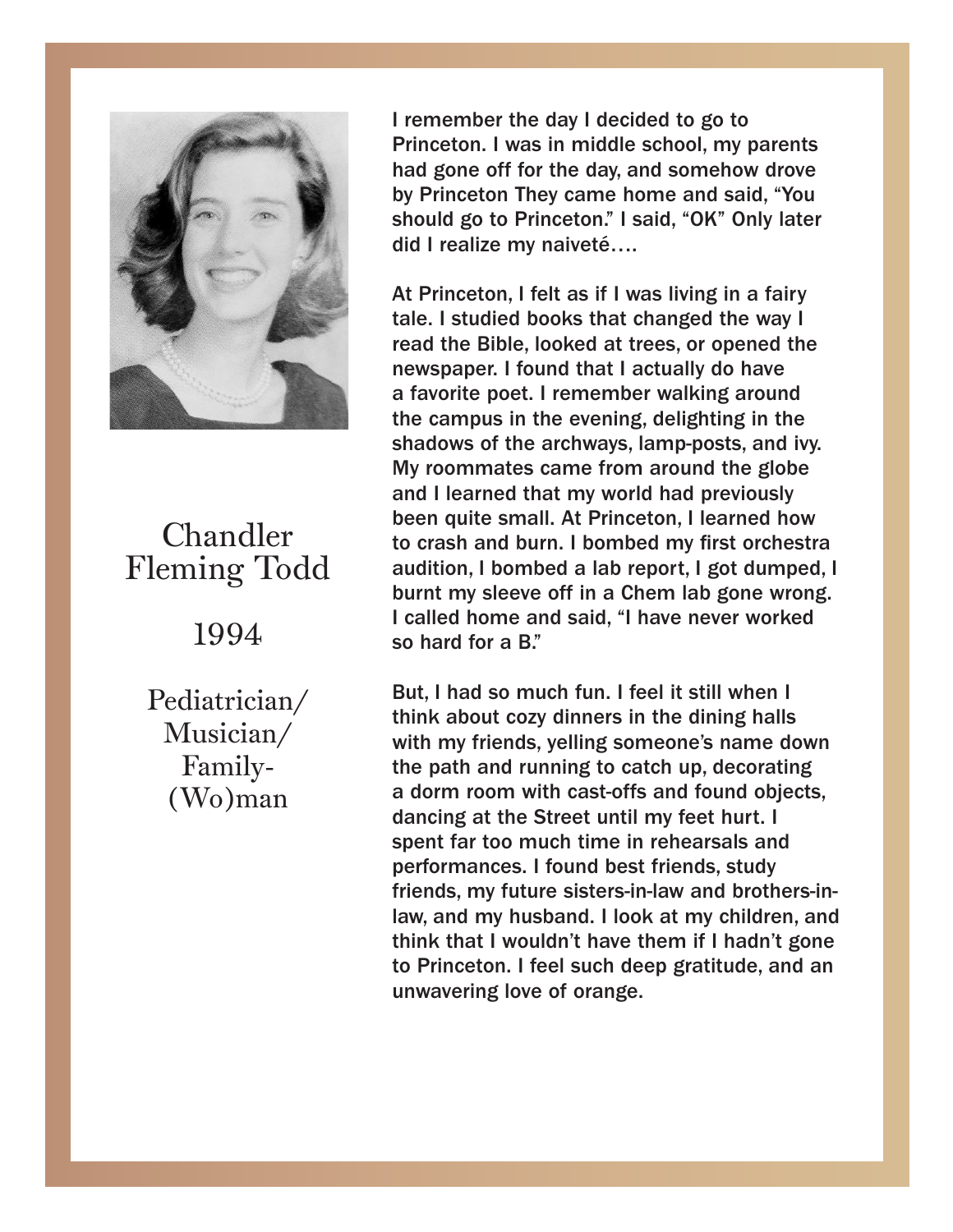

#### Chandler Chandler Fleming Todd

Fleming Todd 1994

Pediatrician/ Family- $\frac{1}{2}$ Musician/ (Wo)man

I remember the day I decided to go to I remember the day I decided to go to Princeton. I was in middle school, my parents Princeton. I was in middle school, my parents had gone off for the day, and somehow drove had gone off for the day, and somehow drove by Princeton They came home and said, "You by Princeton They came home and said, "You should go to Princeton." I said, "OK" Only later should go to Princeton." I said, "OK" Only later did I realize my naiveté…. did I realize my naiveté….

At Princeton, I felt as if I was living in a fairy At Princeton, I felt as if I was living in a fairy tale. I studied books that changed the way I tale. I studied books that changed the way I read the Bible, looked at trees, or opened the read the Bible, looked at trees, or opened the newspaper. I found that I actually do have a favorite poet. I remember walking around<br>... campus in the evening, delighting in the the campus in the evening, delighting in the shadows of the archways, lamp-posts, and ivy. shadows of the archways, lamp-posts, and ivy. My roommates came from around the globe My roommates came from around the globe and I learned that my world had previously and it is a previously that if  $\log p$ quite small. At Princeton, I learned how to crash to crash and burn. I bombed my first orchestra and burn. I bombed my first orchestra audition, audition, I bombed a lab report, I got dumped, I addition, I bombed a lab report, I got dumped, I<br>burnt my sleeve off in a Chem lab gone wrong. **I** called home and said, "I have never worked so hard for a B."  $\overline{\phantom{a}}$  is a hard for a B." and I learned that my world had previously

think about cozy dinners in the dining halls with my friends, yelling someone's name down the path and running to catch up, decorating a dorm room with cast-offs and found objects, dancing at the Street until my feet hurt. I spent far too much time in rehearsals and performances. I found best friends, study friends, my future sisters-in-law and brothers-inlaw, and my husband. I look at my children, and my husband. think that I wouldn't have them if I hadn't gone<br>the Primesters of the Length deep studied to each and wouldn't have them if I hadn't gone to to Princeton. I feel such deep gratitude, and an unwavering love of orange. But, I had so much fun. I feel it still when I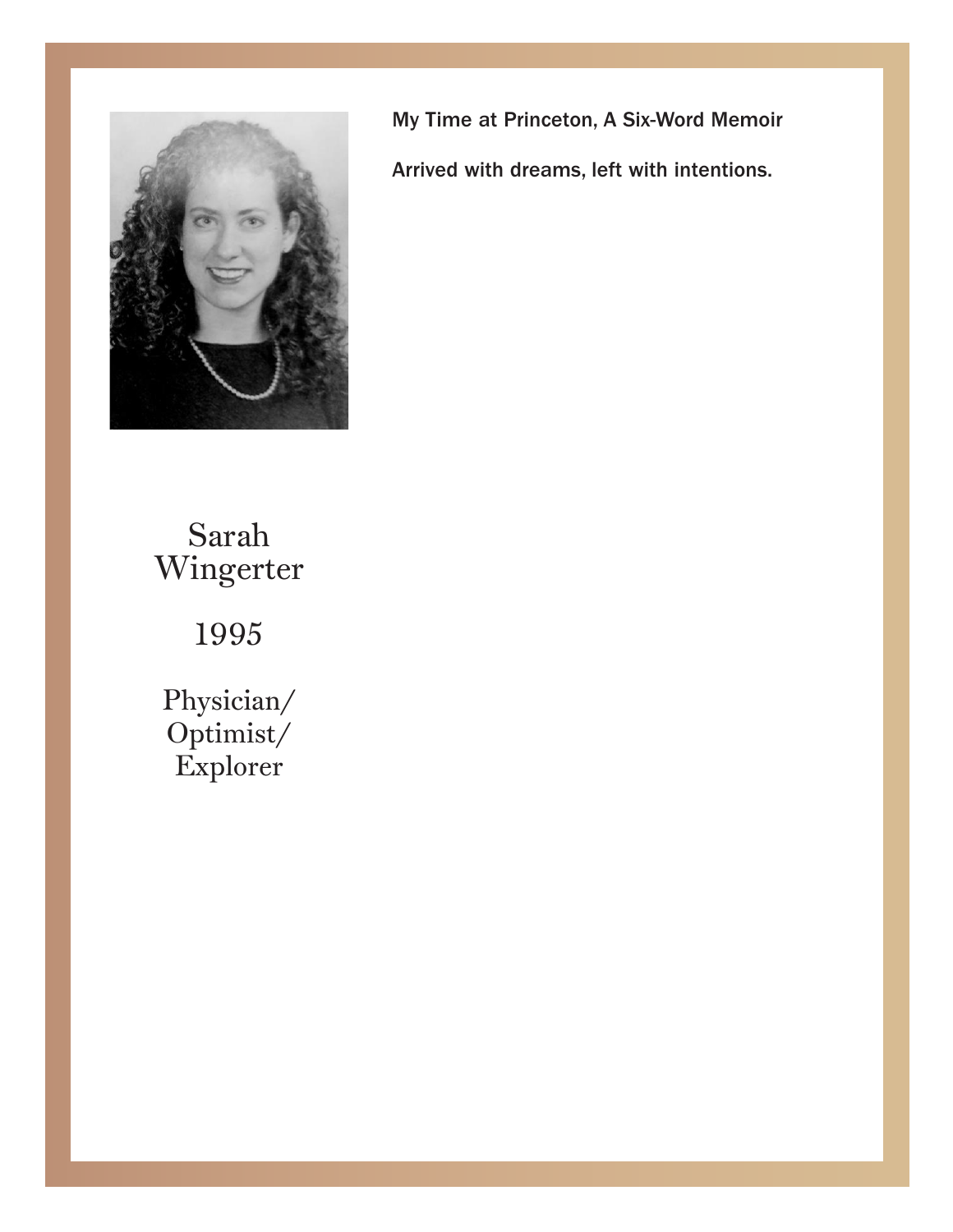

My Time at Princeton, A Six-Word Memoir My Time at Princeton, A Six-Word Memoir

Arrived with dreams, left with intentions. Arrived with dreams, left with intentions.

mgun Sarah Wingerter

1995

Physician/ Explorer Optimist/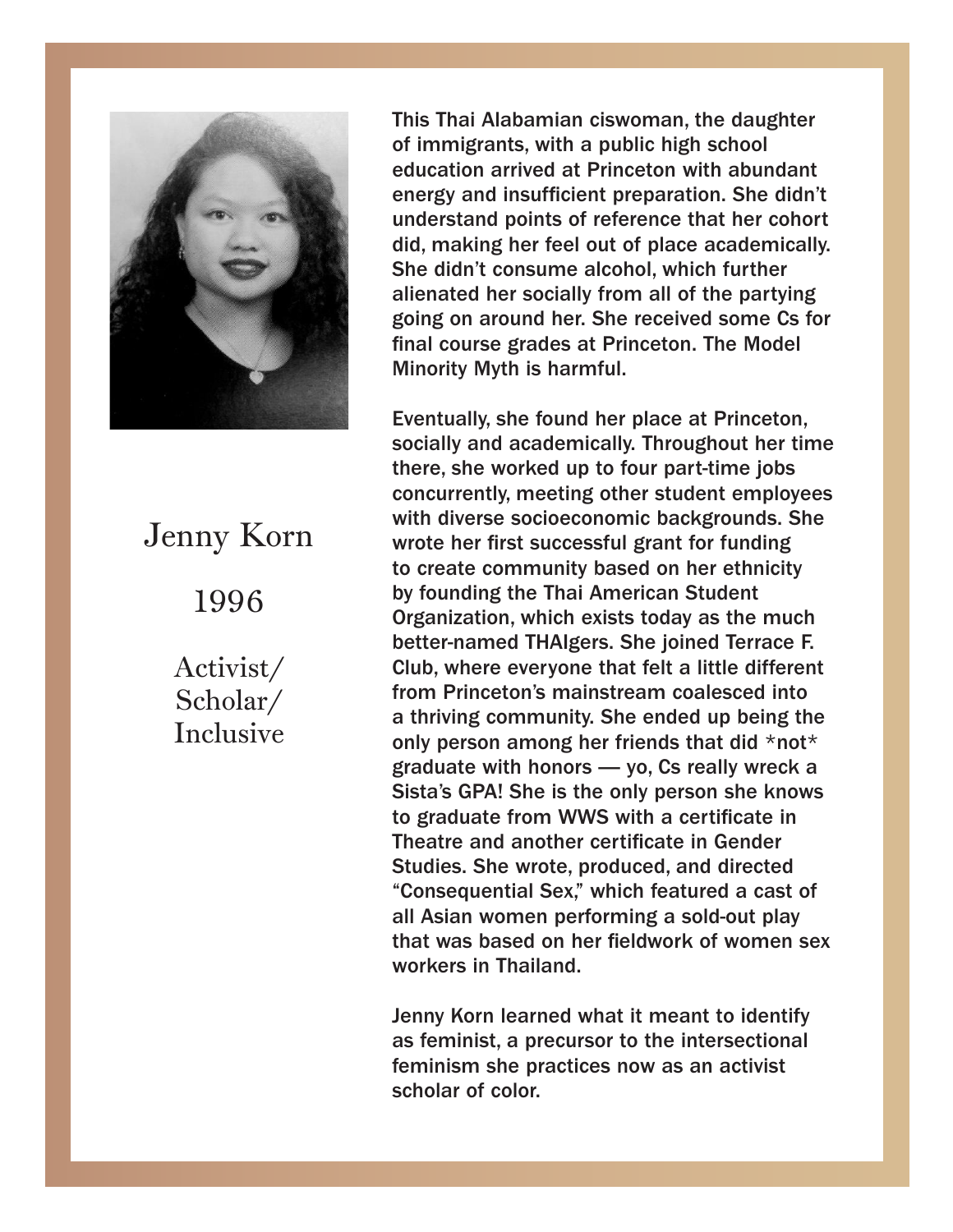

### Jenny Korn 1996 1996 Jenny Korn

Scholar/ Inclusive Activist/

This Thai Alabamian ciswoman, the daughter immigrants, with a public high school education of immigrants, with a public high school education arrived at Princeton with abundant energy and insufficient preparation. She didn't understand points of reference that her cohort did, making her feel out of place academically. She didn't consume alcohol, which further alienated her socially from all of the partying going on around her. She received some Cs for final course grades at Princeton. The Model Minority Myth is harmful.

Eventually, she found her place at Princeton, socially and academically. Throughout her time there, she worked up to four part-time jobs concurrently, meeting other student employees with diverse socioeconomic backgrounds. She wrote her first successful grant for funding to create community based on her ethnicity by founding the Thai American Student Organization, which exists today as the much better-named THAIgers. She joined Terrace F.<br>Children Club, where everyone that felt a little different om Princeton's mainstream coalesced into<br>theiring community Che anded up being the a thromg community. Sile ended up being the<br>only person among her friends that did \*not\* only person among her menas that aid mot<br>graduate with honors — yo, Cs really wreck a gradadto min nonore bylog to rodny moon among sista's GPA! She is the only person she knows erth contribution with the complete the minimum of the state of the state of the graduate from WWS with a certificate in Theatre and another certificate in Gender Studies. She wrote, produced, and directed "Consequential Sex," which featured a cast of all Asian women performing a sold-out play that was based on her fieldwork of women sex workers in Thailand. Eventually, she found her place at Princeton, from Princeton's mainstream coalesced into a thriving community. She ended up being the

was based on her fieldwork of women sex Jenny Korn learned what it meant to identify<br>as familiate a nuccurature the intersectional  $\blacksquare$  Solon learned what it means to identify a set of color. feminist, a precursor to the intersection of  $\sim$ as feminist, a precursor to the intersectional feminism she practices now as an activist

scholar of color.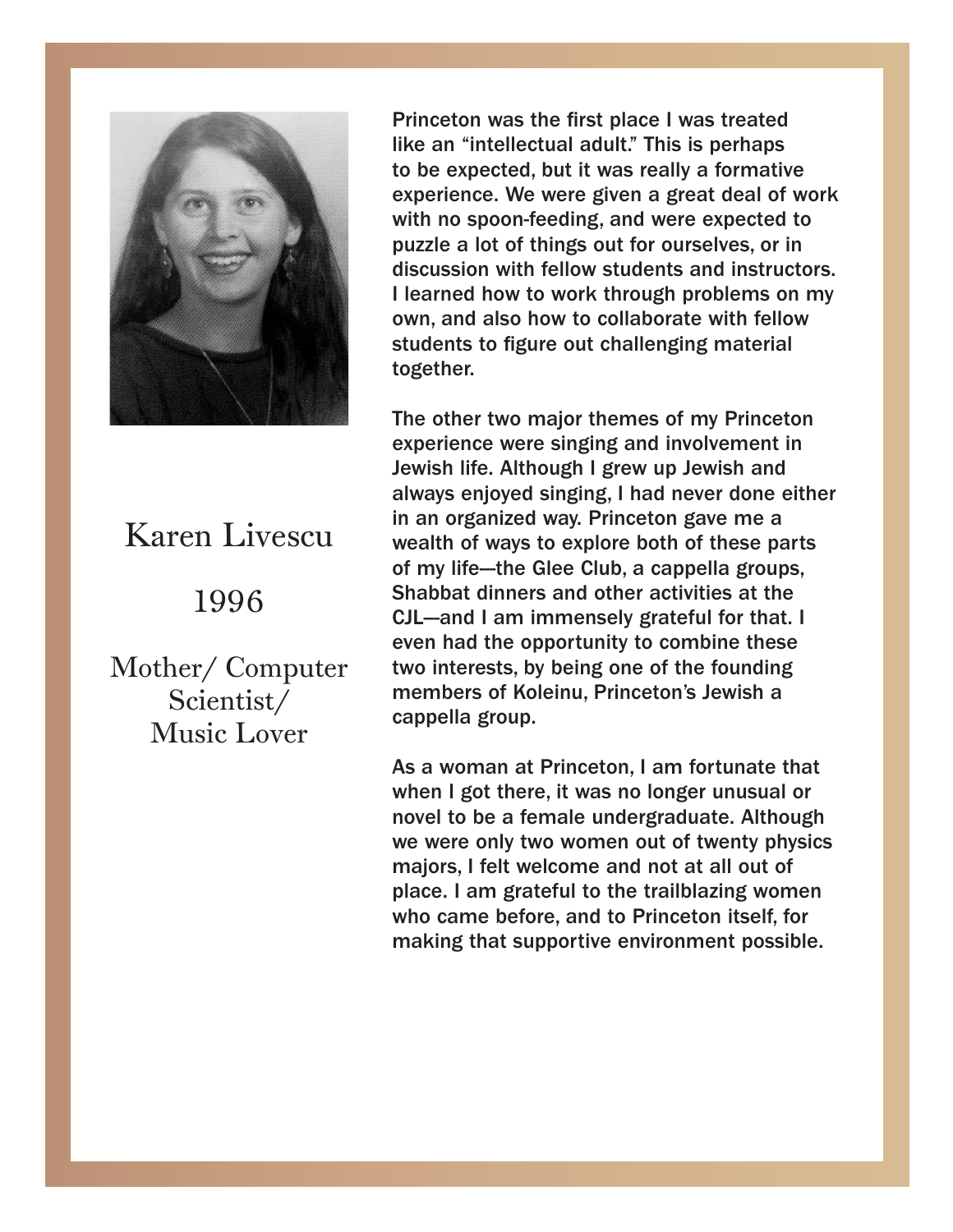

#### $\frac{1}{\sqrt{2}}$ 1996 1996 Karen Livescu

 $Scientist/$ Music Lover Mother/ Computer Princeton was the first place I was treated an "intellectual adult." This is perhaps to be like an "intellectual adult." This is perhaps to be expected, but it was really a formative experience. We were given a great deal of work experience. We were given a great deal of work with no spoon-feeding, and were expected to with no spoon-feeding, and were expected to puzzle a lot of things out for ourselves, or in puzzle a lot of things out for ourselves, or in discussion with fellow students and instructors. discussion with fellow students and instructors. I learned how to work through problems on my I learned how to work through problems on my own, and also how to collaborate with fellow own, and also how to collaborate with fellow students to figure out challenging material students to figure out challenging material together. together.

The other two major themes of my Princeton The other two major themes of my Princeton experience were singing and involvement in Jewish life. Although I grew up Jewish and Jewish life. Although I grew up Jewish and always enjoyed singing, I had never done either always enjoyed singing, I had never done either in an organized way. Princeton gave me a wealth of ways to explore both of these parts weath of ways to explore both of these parts<br>of my life--the Glee Club, a cappella groups, of my life-the Glee Club, a cappella groups,<br>Shabbat dinners and other activities at the **CIL—and I am immensely grateful for that. I** even had the opportunity to combine these two interests, by being one of the founding members of Koleinu, Princeton's Jewish a cappella group. in an organized way. Princeton gave me a

when I got there, it was no longer unusual or novel to be a female undergraduate. Although we were only two women out of twenty physics majors, I felt welcome and not at all out of place. I am grateful to the trailblazing women who came before, and to Princeton itself, for making that supportive environment possible. As a woman at Princeton, I am fortunate that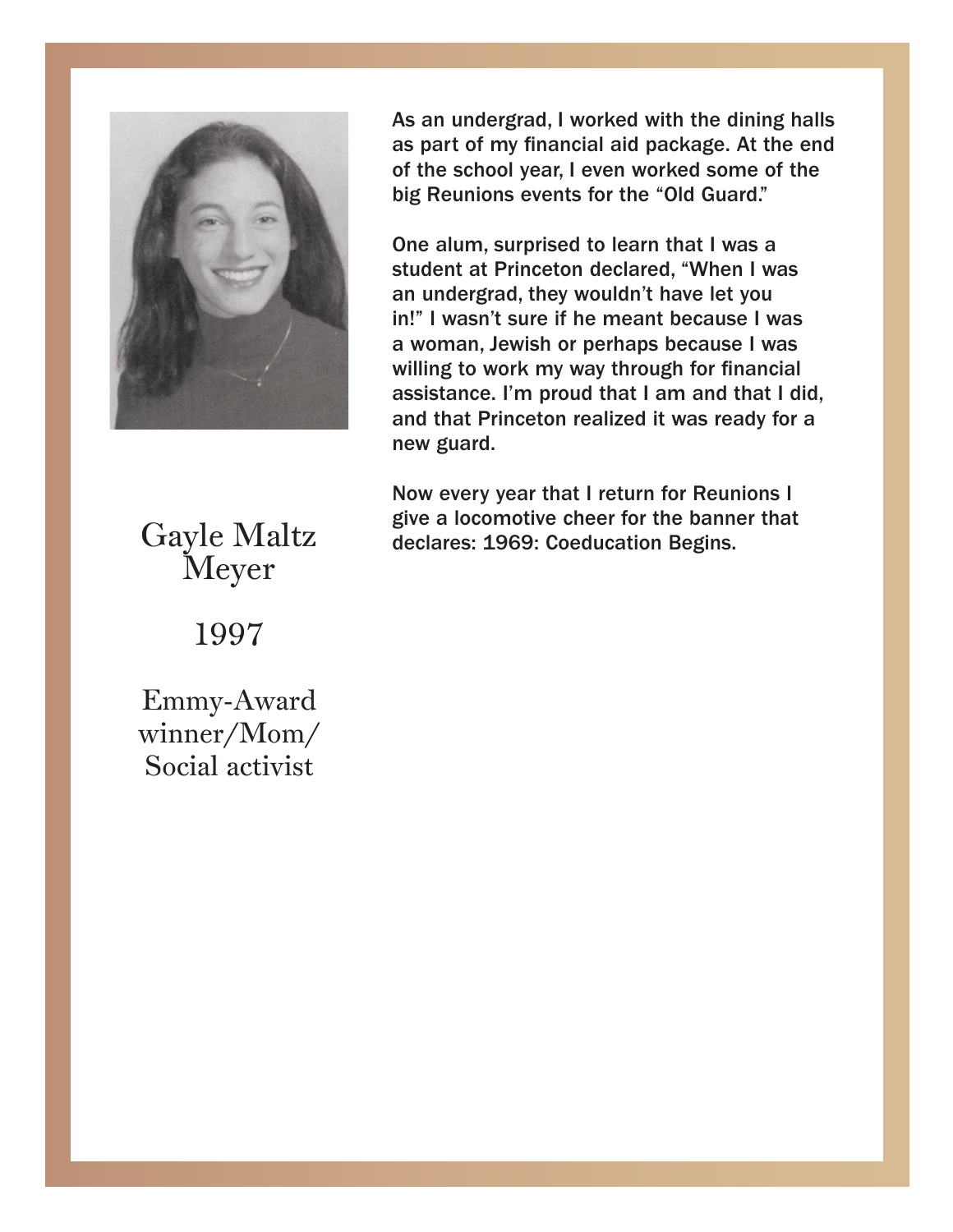

As an undergrad, I worked with the dining halls As an undergrad, I worked with the dining halls as part of my financial aid package. At the end as part of my financial aid package. At the end of the school year, I even worked some of the big Reunions events for the "Old Guard." big Reunions events for the "Old Guard."

One alum, surprised to learn that I was a student at Princeton declared, "When I was an undergrad, they wouldn't have let you in!" I wasn't sure if he meant because I was a woman, Jewish or perhaps because I was<br>willing to work my way through far financial willing to work my way through for miancial<br>assistance. I'm proud that I am and that I did, and that Princeton realized it was ready for a assistance. It is that I am and that I did, that I did that I did, that I did, that I did, that I did, that I did, that I did, that I did, that I did, that I did, that I did, that I did, that I did, that I did, that I did, One alum, surprised to learn that I was a willing to work my way through for financial new guard.

and that Princeton realized it was ready for a Now every year that I return for Reunions I<br>Sive a locarative shear for the bonner that Now every year that I return for Reunions I give give a locomotive cheer for the banner that declares: 1969: Coeducation Begins.

a locomotive cheer for the banner that declares:

 $Gyr$ Gayle Maltz Meyer

Meyer 1997

Emmy-Award winner/Mom/ Social activist